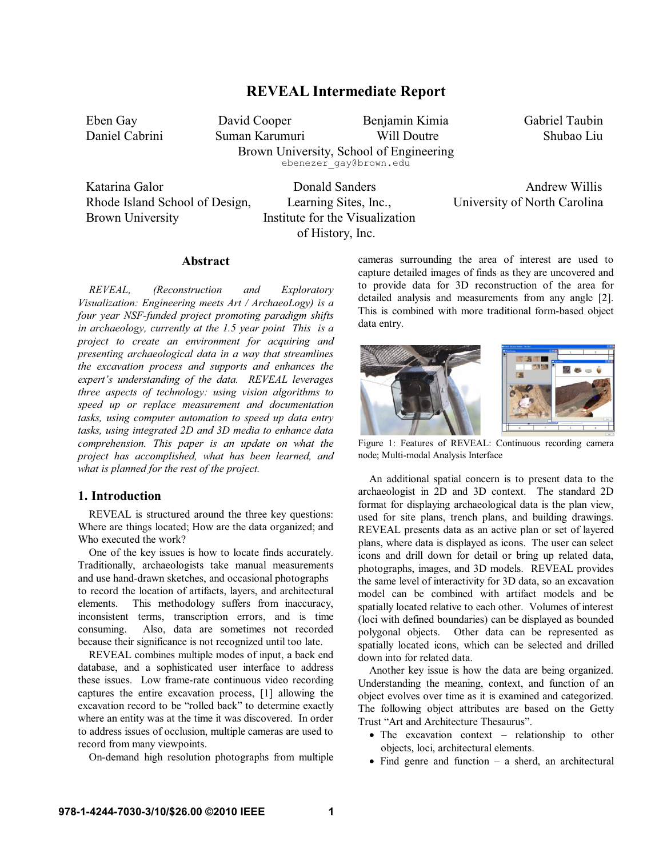# **REVEAL Intermediate Report**

Eben Gay David Cooper Benjamin Kimia Gabriel Taubin Daniel Cabrini Suman Karumuri Will Doutre Shubao Liu Brown University, School of Engineering ebenezer gay@brown.edu

Katarina Galor **Calor Calor** Donald Sanders **Andrew Willis** Rhode Island School of Design, Learning Sites, Inc., University of North Carolina Brown University **Institute for the Visualization** 

of History, Inc.

## **Abstract**

*REVEAL, (Reconstruction and Exploratory Visualization: Engineering meets Art / ArchaeoLogy) is a four year NSF-funded project promoting paradigm shifts in archaeology, currently at the 1.5 year point This is a project to create an environment for acquiring and presenting archaeological data in a way that streamlines the excavation process and supports and enhances the expert's understanding of the data. REVEAL leverages three aspects of technology: using vision algorithms to speed up or replace measurement and documentation tasks, using computer automation to speed up data entry tasks, using integrated 2D and 3D media to enhance data comprehension. This paper is an update on what the project has accomplished, what has been learned, and what is planned for the rest of the project.* 

#### **1. Introduction**

REVEAL is structured around the three key questions: Where are things located; How are the data organized; and Who executed the work?

One of the key issues is how to locate finds accurately. Traditionally, archaeologists take manual measurements and use hand-drawn sketches, and occasional photographs to record the location of artifacts, layers, and architectural elements. This methodology suffers from inaccuracy, inconsistent terms, transcription errors, and is time consuming. Also, data are sometimes not recorded because their significance is not recognized until too late.

REVEAL combines multiple modes of input, a back end database, and a sophisticated user interface to address these issues. Low frame-rate continuous video recording captures the entire excavation process, [1] allowing the excavation record to be "rolled back" to determine exactly where an entity was at the time it was discovered. In order to address issues of occlusion, multiple cameras are used to record from many viewpoints.

On-demand high resolution photographs from multiple

cameras surrounding the area of interest are used to capture detailed images of finds as they are uncovered and to provide data for 3D reconstruction of the area for detailed analysis and measurements from any angle [2]. This is combined with more traditional form-based object data entry.



Figure 1: Features of REVEAL: Continuous recording camera node; Multi-modal Analysis Interface

An additional spatial concern is to present data to the archaeologist in 2D and 3D context. The standard 2D format for displaying archaeological data is the plan view, used for site plans, trench plans, and building drawings. REVEAL presents data as an active plan or set of layered plans, where data is displayed as icons. The user can select icons and drill down for detail or bring up related data, photographs, images, and 3D models. REVEAL provides the same level of interactivity for 3D data, so an excavation model can be combined with artifact models and be spatially located relative to each other. Volumes of interest (loci with defined boundaries) can be displayed as bounded polygonal objects. Other data can be represented as spatially located icons, which can be selected and drilled down into for related data.

Another key issue is how the data are being organized. Understanding the meaning, context, and function of an object evolves over time as it is examined and categorized. The following object attributes are based on the Getty Trust "Art and Architecture Thesaurus".

- The excavation context relationship to other objects, loci, architectural elements.
- Find genre and function a sherd, an architectural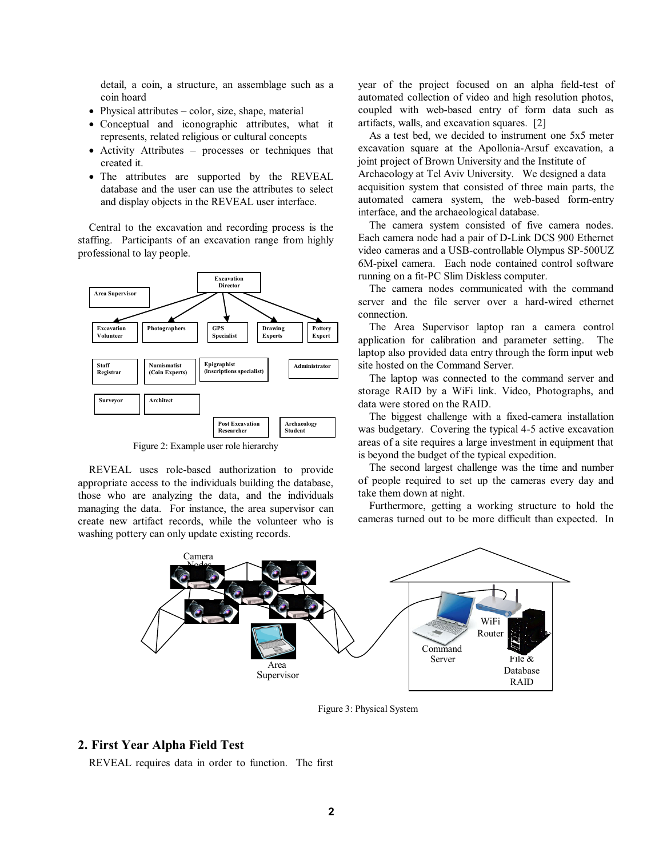detail, a coin, a structure, an assemblage such as a coin hoard

- Physical attributes color, size, shape, material
- Conceptual and iconographic attributes, what it represents, related religious or cultural concepts
- Activity Attributes processes or techniques that created it.
- The attributes are supported by the REVEAL database and the user can use the attributes to select and display objects in the REVEAL user interface.

Central to the excavation and recording process is the staffing. Participants of an excavation range from highly professional to lay people.



Figure 2: Example user role hierarchy

REVEAL uses role-based authorization to provide appropriate access to the individuals building the database, those who are analyzing the data, and the individuals managing the data. For instance, the area supervisor can create new artifact records, while the volunteer who is washing pottery can only update existing records.

year of the project focused on an alpha field-test of automated collection of video and high resolution photos, coupled with web-based entry of form data such as artifacts, walls, and excavation squares. [2]

As a test bed, we decided to instrument one 5x5 meter excavation square at the Apollonia-Arsuf excavation, a joint project of Brown University and the Institute of

Archaeology at Tel Aviv University. We designed a data acquisition system that consisted of three main parts, the automated camera system, the web-based form-entry interface, and the archaeological database.

The camera system consisted of five camera nodes. Each camera node had a pair of D-Link DCS 900 Ethernet video cameras and a USB-controllable Olympus SP-500UZ 6M-pixel camera. Each node contained control software running on a fit-PC Slim Diskless computer.

The camera nodes communicated with the command server and the file server over a hard-wired ethernet connection.

The Area Supervisor laptop ran a camera control application for calibration and parameter setting. The laptop also provided data entry through the form input web site hosted on the Command Server.

The laptop was connected to the command server and storage RAID by a WiFi link. Video, Photographs, and data were stored on the RAID.

The biggest challenge with a fixed-camera installation was budgetary. Covering the typical 4-5 active excavation areas of a site requires a large investment in equipment that is beyond the budget of the typical expedition.

The second largest challenge was the time and number of people required to set up the cameras every day and take them down at night.

Furthermore, getting a working structure to hold the cameras turned out to be more difficult than expected. In



Figure 3: Physical System

## **2. First Year Alpha Field Test**

REVEAL requires data in order to function. The first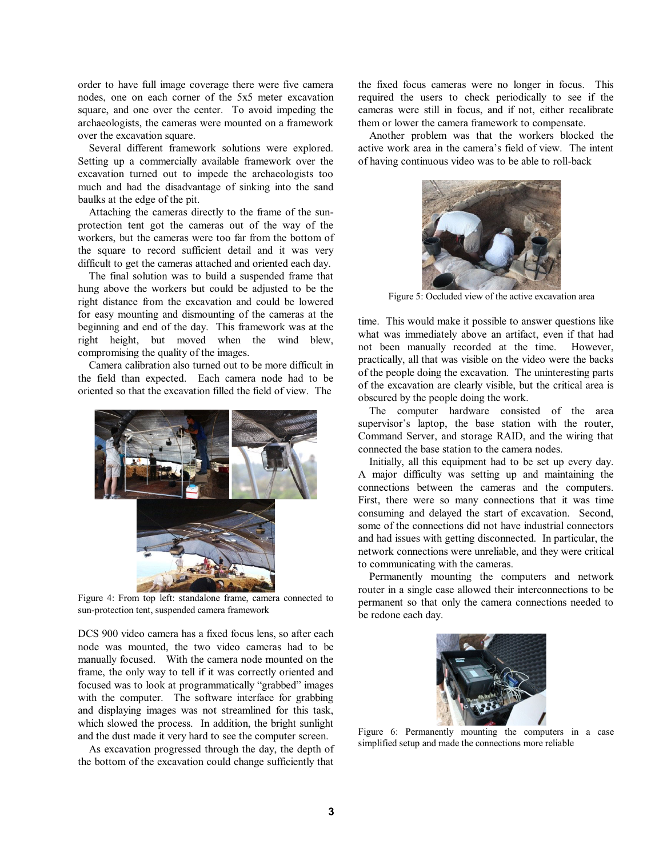order to have full image coverage there were five camera nodes, one on each corner of the 5x5 meter excavation square, and one over the center. To avoid impeding the archaeologists, the cameras were mounted on a framework over the excavation square.

Several different framework solutions were explored. Setting up a commercially available framework over the excavation turned out to impede the archaeologists too much and had the disadvantage of sinking into the sand baulks at the edge of the pit.

Attaching the cameras directly to the frame of the sunprotection tent got the cameras out of the way of the workers, but the cameras were too far from the bottom of the square to record sufficient detail and it was very difficult to get the cameras attached and oriented each day.

The final solution was to build a suspended frame that hung above the workers but could be adjusted to be the right distance from the excavation and could be lowered for easy mounting and dismounting of the cameras at the beginning and end of the day. This framework was at the right height, but moved when the wind blew, compromising the quality of the images.

Camera calibration also turned out to be more difficult in the field than expected. Each camera node had to be oriented so that the excavation filled the field of view. The



Figure 4: From top left: standalone frame, camera connected to sun-protection tent, suspended camera framework

DCS 900 video camera has a fixed focus lens, so after each node was mounted, the two video cameras had to be manually focused. With the camera node mounted on the frame, the only way to tell if it was correctly oriented and focused was to look at programmatically "grabbed" images with the computer. The software interface for grabbing and displaying images was not streamlined for this task, which slowed the process. In addition, the bright sunlight and the dust made it very hard to see the computer screen.

As excavation progressed through the day, the depth of the bottom of the excavation could change sufficiently that

the fixed focus cameras were no longer in focus. This required the users to check periodically to see if the cameras were still in focus, and if not, either recalibrate them or lower the camera framework to compensate.

Another problem was that the workers blocked the active work area in the camera's field of view. The intent of having continuous video was to be able to roll-back



Figure 5: Occluded view of the active excavation area

time. This would make it possible to answer questions like what was immediately above an artifact, even if that had not been manually recorded at the time. However, practically, all that was visible on the video were the backs of the people doing the excavation. The uninteresting parts of the excavation are clearly visible, but the critical area is obscured by the people doing the work.

The computer hardware consisted of the area supervisor's laptop, the base station with the router, Command Server, and storage RAID, and the wiring that connected the base station to the camera nodes.

Initially, all this equipment had to be set up every day. A major difficulty was setting up and maintaining the connections between the cameras and the computers. First, there were so many connections that it was time consuming and delayed the start of excavation. Second, some of the connections did not have industrial connectors and had issues with getting disconnected. In particular, the network connections were unreliable, and they were critical to communicating with the cameras.

Permanently mounting the computers and network router in a single case allowed their interconnections to be permanent so that only the camera connections needed to be redone each day.



Figure 6: Permanently mounting the computers in a case simplified setup and made the connections more reliable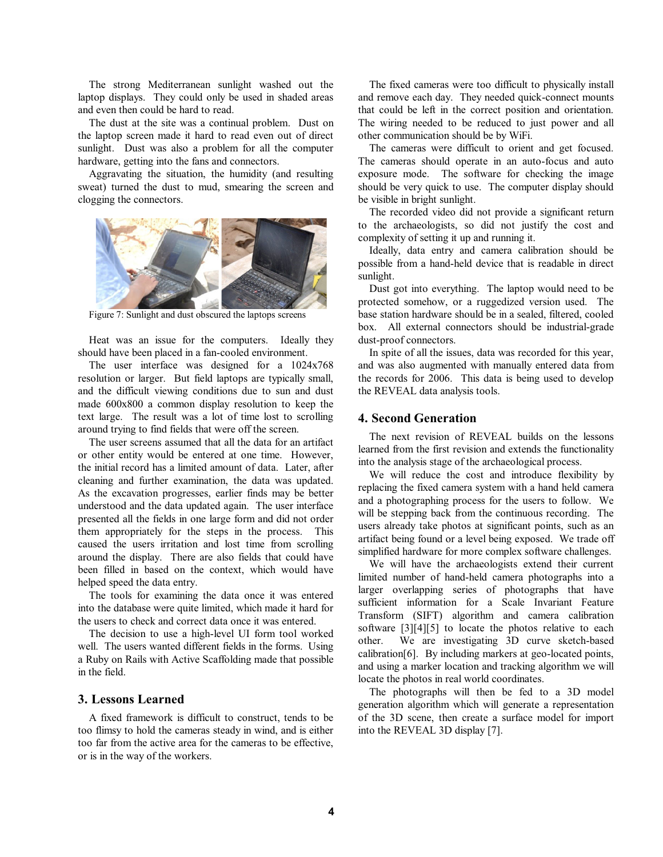The strong Mediterranean sunlight washed out the laptop displays. They could only be used in shaded areas and even then could be hard to read.

The dust at the site was a continual problem. Dust on the laptop screen made it hard to read even out of direct sunlight. Dust was also a problem for all the computer hardware, getting into the fans and connectors.

Aggravating the situation, the humidity (and resulting sweat) turned the dust to mud, smearing the screen and clogging the connectors.



Figure 7: Sunlight and dust obscured the laptops screens

Heat was an issue for the computers. Ideally they should have been placed in a fan-cooled environment.

The user interface was designed for a 1024x768 resolution or larger. But field laptops are typically small, and the difficult viewing conditions due to sun and dust made 600x800 a common display resolution to keep the text large. The result was a lot of time lost to scrolling around trying to find fields that were off the screen.

The user screens assumed that all the data for an artifact or other entity would be entered at one time. However, the initial record has a limited amount of data. Later, after cleaning and further examination, the data was updated. As the excavation progresses, earlier finds may be better understood and the data updated again. The user interface presented all the fields in one large form and did not order them appropriately for the steps in the process. This caused the users irritation and lost time from scrolling around the display. There are also fields that could have been filled in based on the context, which would have helped speed the data entry.

The tools for examining the data once it was entered into the database were quite limited, which made it hard for the users to check and correct data once it was entered.

The decision to use a high-level UI form tool worked well. The users wanted different fields in the forms. Using a Ruby on Rails with Active Scaffolding made that possible in the field.

### **3. Lessons Learned**

A fixed framework is difficult to construct, tends to be too flimsy to hold the cameras steady in wind, and is either too far from the active area for the cameras to be effective, or is in the way of the workers.

The fixed cameras were too difficult to physically install and remove each day. They needed quick-connect mounts that could be left in the correct position and orientation. The wiring needed to be reduced to just power and all other communication should be by WiFi.

The cameras were difficult to orient and get focused. The cameras should operate in an auto-focus and auto exposure mode. The software for checking the image should be very quick to use. The computer display should be visible in bright sunlight.

The recorded video did not provide a significant return to the archaeologists, so did not justify the cost and complexity of setting it up and running it.

Ideally, data entry and camera calibration should be possible from a hand-held device that is readable in direct sunlight.

Dust got into everything. The laptop would need to be protected somehow, or a ruggedized version used. The base station hardware should be in a sealed, filtered, cooled box. All external connectors should be industrial-grade dust-proof connectors.

In spite of all the issues, data was recorded for this year, and was also augmented with manually entered data from the records for 2006. This data is being used to develop the REVEAL data analysis tools.

## **4. Second Generation**

The next revision of REVEAL builds on the lessons learned from the first revision and extends the functionality into the analysis stage of the archaeological process.

We will reduce the cost and introduce flexibility by replacing the fixed camera system with a hand held camera and a photographing process for the users to follow. We will be stepping back from the continuous recording. The users already take photos at significant points, such as an artifact being found or a level being exposed. We trade off simplified hardware for more complex software challenges.

We will have the archaeologists extend their current limited number of hand-held camera photographs into a larger overlapping series of photographs that have sufficient information for a Scale Invariant Feature Transform (SIFT) algorithm and camera calibration software [3][4][5] to locate the photos relative to each other. We are investigating 3D curve sketch-based calibration[6]. By including markers at geo-located points, and using a marker location and tracking algorithm we will locate the photos in real world coordinates.

The photographs will then be fed to a 3D model generation algorithm which will generate a representation of the 3D scene, then create a surface model for import into the REVEAL 3D display [7].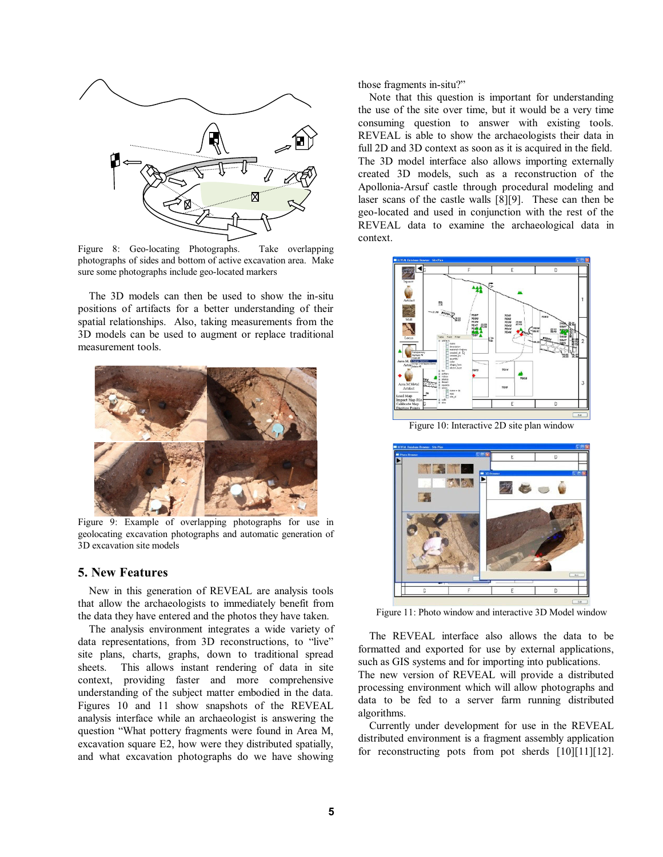

Figure 8: Geo-locating Photographs. Take overlapping photographs of sides and bottom of active excavation area. Make sure some photographs include geo-located markers

The 3D models can then be used to show the in-situ positions of artifacts for a better understanding of their spatial relationships. Also, taking measurements from the 3D models can be used to augment or replace traditional measurement tools.



Figure 9: Example of overlapping photographs for use in geolocating excavation photographs and automatic generation of 3D excavation site models

#### **5. New Features**

New in this generation of REVEAL are analysis tools that allow the archaeologists to immediately benefit from the data they have entered and the photos they have taken.

The analysis environment integrates a wide variety of data representations, from 3D reconstructions, to "live" site plans, charts, graphs, down to traditional spread sheets. This allows instant rendering of data in site context, providing faster and more comprehensive understanding of the subject matter embodied in the data. Figures 10 and 11 show snapshots of the REVEAL analysis interface while an archaeologist is answering the question "What pottery fragments were found in Area M, excavation square E2, how were they distributed spatially, and what excavation photographs do we have showing those fragments in-situ?"

Note that this question is important for understanding the use of the site over time, but it would be a very time consuming question to answer with existing tools. REVEAL is able to show the archaeologists their data in full 2D and 3D context as soon as it is acquired in the field. The 3D model interface also allows importing externally created 3D models, such as a reconstruction of the Apollonia-Arsuf castle through procedural modeling and laser scans of the castle walls [8][9]. These can then be geo-located and used in conjunction with the rest of the REVEAL data to examine the archaeological data in context.



Figure 10: Interactive 2D site plan window



Figure 11: Photo window and interactive 3D Model window

The REVEAL interface also allows the data to be formatted and exported for use by external applications, such as GIS systems and for importing into publications.

The new version of REVEAL will provide a distributed processing environment which will allow photographs and data to be fed to a server farm running distributed algorithms.

Currently under development for use in the REVEAL distributed environment is a fragment assembly application for reconstructing pots from pot sherds [10][11][12].